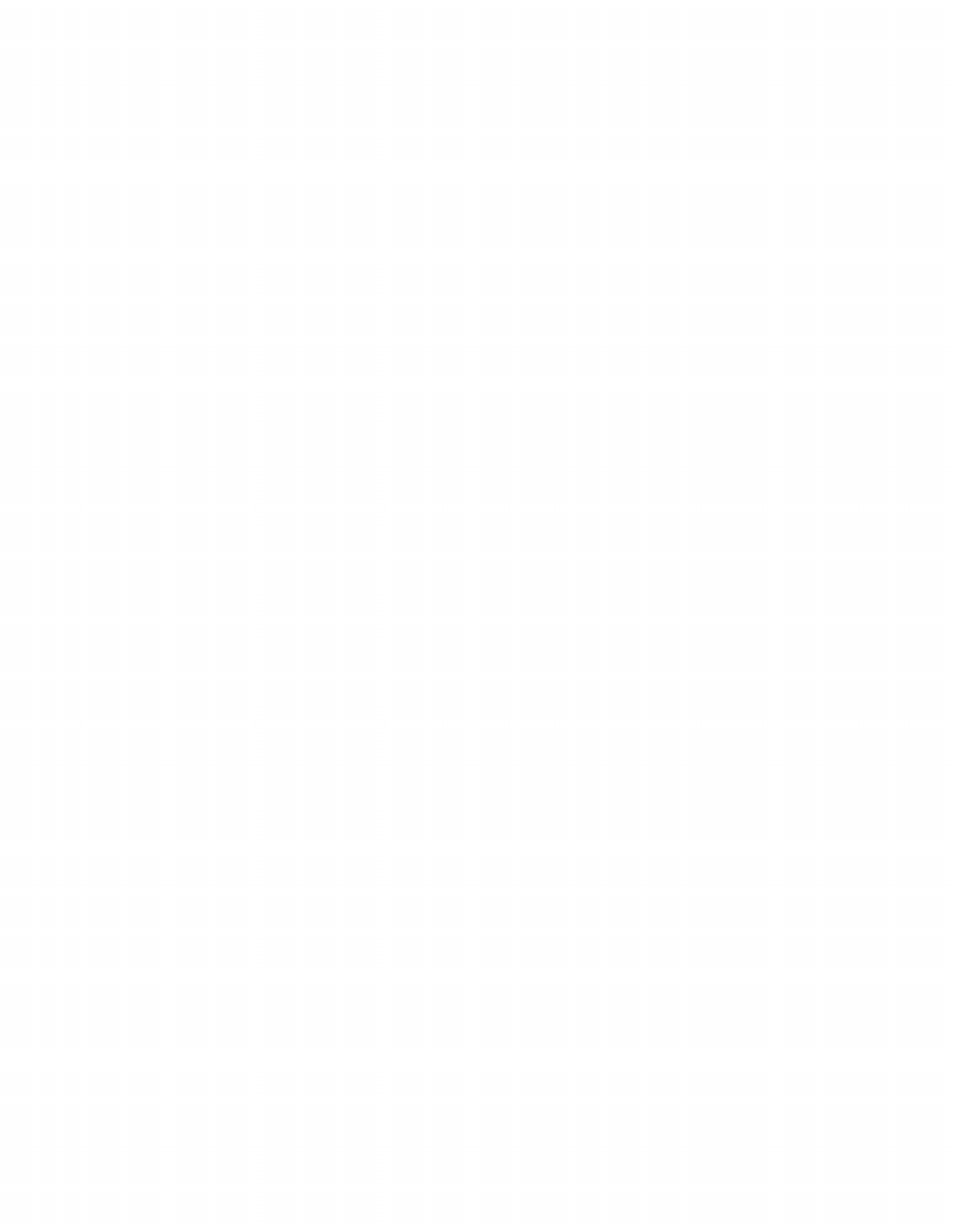## **BOARD OF SELECTMEN AND SEWER COMMISIONER'S MEETING**

**October 5, 2015 Francis Faulkner Room 204 Regular Meeting 7:00 PM**

Present: Katie Green, Peter Berry, Janet Adachi, Franny Osman, Town Manager Steven Ledoux, and Lisa Tomyl, Recording Secretary. Absent: Chingsung Chang.

Chairman Green opened the meeting at 7:00PM

**Citizens' Concerns** None

## **Chairman's Update and Operational Update:**

Ms. Green: Next Monday is Columbus Day so town offices will be closed. Mr. Ledoux: Attended International City/County Management Association annual meeting in Seattle this past week. At the meeting, Acton and other communities received a community award for CrossTown Connect. Very well attended conference  $-$  about 5000.

## **Public Hearings and Appointments**

7:10 PM Ed Bouquillon, Superintendent, Minuteman Regional Vocational High School Building Project: Ed Bouquillon gave a slide presentation regarding the feasibility study for the proposed new school building. Also present were Assistant Superintendent Kevin Mahoney; Pam Nourse, Acton's representative on the School Committee; Building Committee Chairman Ford Spaulding. The proposed schematic design will go to 2 estimators and then finalized next month. The annual cost impact on the median Acton homeowner would be \$32.30. Minuteman considers the proposed increase in enrollment to 580, by 2018-2019, or an increase of 1/10 of 1% per year, to be realistic. As of 3/2015, Minuteman may require non-member communities to pay toward capital. in response to Ms. Adachi's questions, Mr. Bouquillon said details of the bonding proposal would be worked out, including the timing, and accounting for changes in District membership; current enrollment was down about 7%; the State's warning about the school's accreditation would be on hold during construction of the new school; the District owns the 66-acre parcel..

Mr. Berry was impressed with the proposed program,, expressed concern about the enrollment numbers. In response to Mr. Berry's question about a marketing plan, Mr. Bouquillon said Minuteman had hired someone to put together the marketing plan, which would aim to increase parents' understanding of the potential opportunities for students, for example, the junior high "exploratory" days, and not simply about generating a fancy website or fancy brochure. Mr. Berry also asked about other ways to reduce costs to member towns, such as repurposing the existing campus. In response to Ms. Osman's questions about combining with other alternative school programs and building expansion Board of Selectmen

October 5, 2015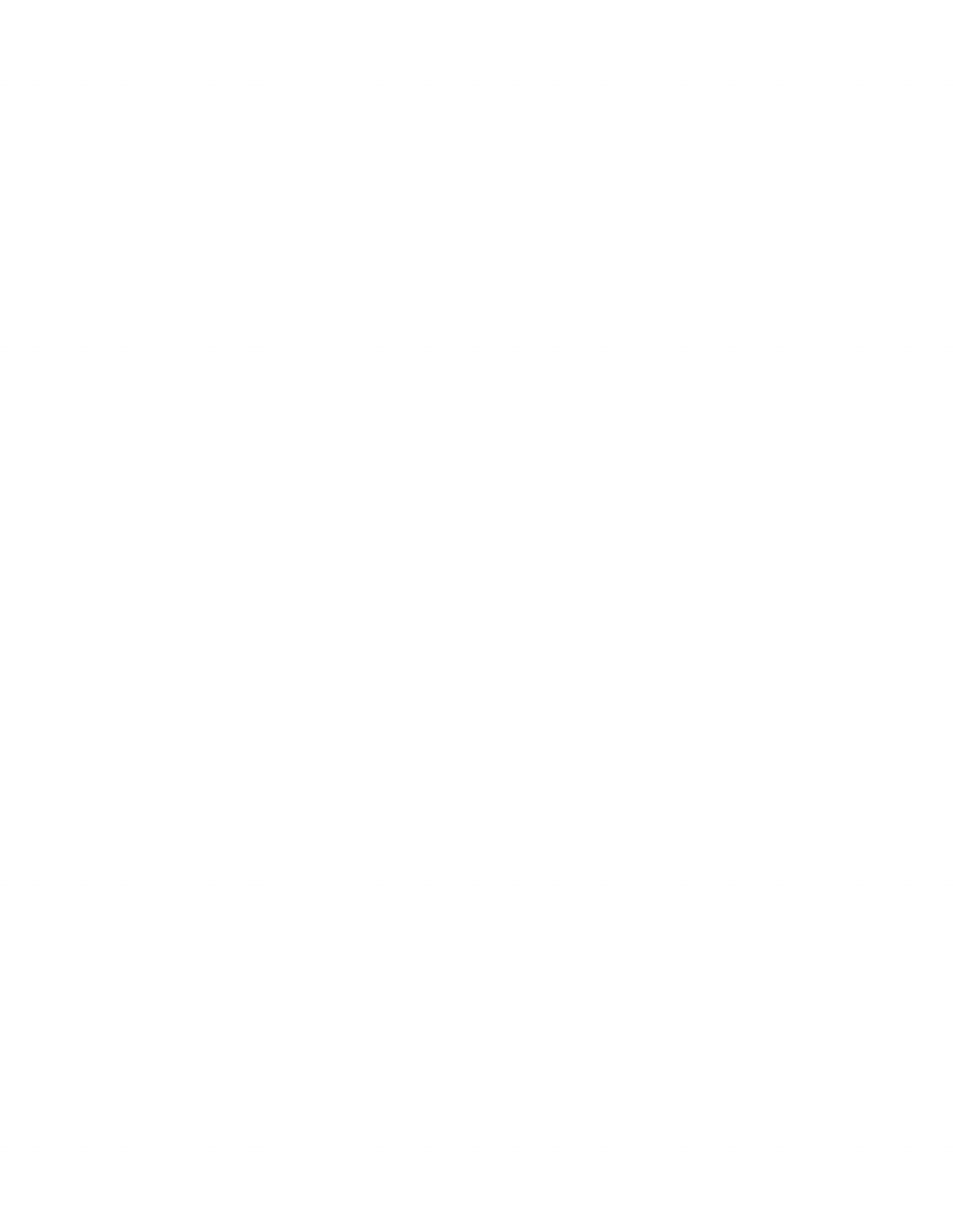options, Mr. Bouquillon said LABB (Lexington-Arlington-Bedford-Burlington) operates within Minuteman, and Minuteman in the Afternoon is available for  $11<sup>th</sup>$  and  $12<sup>th</sup>$  graders who have finished MCAS and attend Minuteman vocational-technical classes in the afternoon; the presence of wetlands limits lateral expansion and Lincoln's zoning bylaw limits upward expansion. In response to Ms. Green's question about the response of non-member communities, Mr. Bouquillon said he and the Assistant Superintendent were pursuing, noting that 2/3 of non-member students came from Waltham, Watertown, Medford and Boston, which lack their own vocational education programs. 40 communities east of Worcester have no vocational programs; Newton has 5 but would like more. Mr. Bouquillon noted that Burlington a few years ago considered forgoing accreditation due to the expense, but forgoing accreditation also would forfeit quality-assurance.

Board members expressed support for the building project, which to move forward would require the unanimous approval of all 16 member communities via town meetings or majority approval via Districtwide ballot. Once the School Committee voted to recommend the proposal, District members would have 60 days to call special town meetings to oppose the proposal, if any member voted down the proposal, there would be a District-wide ballot. Mr. Berry said he would prefer to hold a Town Meeting to decide the building project.

Ms. Green would prefer not to have another Special Town Meeting. Move to support building project -Ms. Adachi moved, Mr. Berry seconded. All Ayes (4-0).

Move to support having the district wide vote -Mr. Berry moved, Ms. Adachi seconded. All Ayes (4-0).

7:40 PM Use Special Permit #08/18/15 - 454, Increase Seating, Legend Café, 5A Spruce Street: Present were Ms. Jingbo Li and Mr. David Herbert, owners of Legend Café, and Town Planner Roland Bartl and Assistant Town Planner Kristen Guichard. Requesting approval for 36 seats in the café for 7 days, instead of the 3-5 days, with seating potentially increasing to 50; seating includes the 12 seats outside. Ms. Adachi moved to approve application for Use Special Permit with increased seating up to 50 as described in draft decision, Ms. Osman seconded. All Ayes (4-0)

7:50 PM Common Victualler, Legend Café, 5A Spruce Street: They have experience in catering. Eventually will redo the floors, and have new tables.

Ms. Adachi moved to approve the application to Legend Café for a CV license, Ms. Osman seconded. All Ayes (4-0)

8:00 PM Acton Nursing Services Task Force Report: Charlie Kadlec, Chair, and Task Force member Adrian Hancock gave a slide presentation about the activities and findings of the Acton Nursing Services Task Force. The Task Force has been working since 2/2015. There still is a lack of knowledge of the ANS, including in Acton. ANS provides not just home care but public health services; not all services receive reimbursement, for example, the wellness clinics. The marketing efforts seek to expand the target audience, of which ANS is capturing only a small segment, by introducing ANS to the health community and others, providing Q&A and other information on the Town website. Most ANS patients are elderly.

Board of Selectmen October 5, 2015